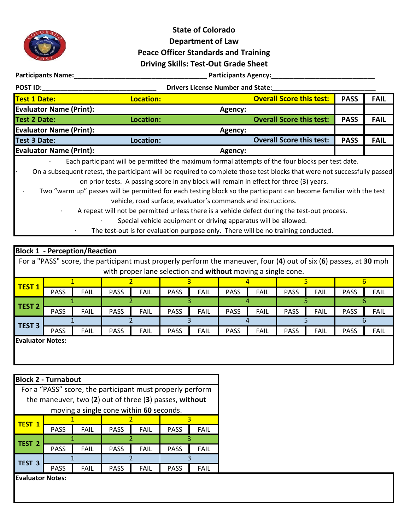

## **State of Colorado Department of Law Peace Officer Standards and Training Driving Skills: Test-Out Grade Sheet**

**Participants Name:\_\_\_\_\_\_\_\_\_\_\_\_\_\_\_\_\_\_\_\_\_\_\_\_\_\_\_\_\_\_\_\_\_\_\_\_ Participants Agency:\_\_\_\_\_\_\_\_\_\_\_\_\_\_\_\_\_\_\_\_\_\_\_\_\_\_\_\_**

|  | - |  |  |
|--|---|--|--|
|  |   |  |  |
|  |   |  |  |
|  |   |  |  |

**POST ID:\_\_\_\_\_\_\_\_\_\_\_\_\_\_\_\_\_\_\_\_\_\_\_\_\_\_\_\_\_\_\_ Drivers License Number and State:\_\_\_\_\_\_\_\_\_\_\_\_\_\_\_\_\_\_\_\_\_\_\_\_\_\_\_\_**

| <b>Test 1 Date:</b>            | <b>Location:</b> |                | <b>Overall Score this test:</b> | <b>PASS</b> | <b>FAIL</b> |
|--------------------------------|------------------|----------------|---------------------------------|-------------|-------------|
| <b>Evaluator Name (Print):</b> |                  | Agency:        |                                 |             |             |
| Test 2 Date:                   | Location:        |                | <b>Overall Score this test:</b> | <b>PASS</b> | <b>FAIL</b> |
| <b>Evaluator Name (Print):</b> |                  | Agency:        |                                 |             |             |
| Test 3 Date:                   | Location:        |                | <b>Overall Score this test:</b> | <b>PASS</b> | <b>FAIL</b> |
| <b>Evaluator Name (Print):</b> |                  | <b>Agency:</b> |                                 |             |             |

· Each participant will be permitted the maximum formal attempts of the four blocks per test date.

· On a subsequent retest, the participant will be required to complete those test blocks that were not successfully passed on prior tests. A passing score in any block will remain in effect for three (3) years.

Two "warm up" passes will be permitted for each testing block so the participant can become familiar with the test vehicle, road surface, evaluator's commands and instructions.

A repeat will not be permitted unless there is a vehicle defect during the test-out process.

· Special vehicle equipment or driving apparatus will be allowed.

· The test-out is for evaluation purpose only. There will be no training conducted.

| <b>Block 1 - Perception/Reaction</b> |                                                                                                                   |             |             |             |             |             |             |             |             |             |             |             |
|--------------------------------------|-------------------------------------------------------------------------------------------------------------------|-------------|-------------|-------------|-------------|-------------|-------------|-------------|-------------|-------------|-------------|-------------|
|                                      | For a "PASS" score, the participant must properly perform the maneuver, four (4) out of six (6) passes, at 30 mph |             |             |             |             |             |             |             |             |             |             |             |
|                                      | with proper lane selection and without moving a single cone.                                                      |             |             |             |             |             |             |             |             |             |             |             |
| <b>TEST 1</b>                        |                                                                                                                   |             |             |             |             |             |             |             |             |             |             |             |
|                                      | <b>PASS</b>                                                                                                       | <b>FAIL</b> | <b>PASS</b> | <b>FAIL</b> | <b>PASS</b> | <b>FAIL</b> | <b>PASS</b> | <b>FAIL</b> | <b>PASS</b> | <b>FAIL</b> | <b>PASS</b> | <b>FAIL</b> |
| <b>TEST 2</b>                        |                                                                                                                   |             |             |             |             |             |             |             |             |             |             |             |
|                                      | <b>PASS</b>                                                                                                       | <b>FAIL</b> | <b>PASS</b> | <b>FAIL</b> | <b>PASS</b> | <b>FAIL</b> | <b>PASS</b> | <b>FAIL</b> | <b>PASS</b> | <b>FAIL</b> | <b>PASS</b> | <b>FAIL</b> |
| <b>TEST 3</b>                        |                                                                                                                   |             |             |             |             |             |             |             |             |             |             |             |
|                                      | <b>PASS</b>                                                                                                       | <b>FAIL</b> | <b>PASS</b> | <b>FAIL</b> | <b>PASS</b> | <b>FAIL</b> | <b>PASS</b> | <b>FAIL</b> | <b>PASS</b> | <b>FAIL</b> | <b>PASS</b> | <b>FAIL</b> |
| <b>Evaluator Notes:</b>              |                                                                                                                   |             |             |             |             |             |             |             |             |             |             |             |
|                                      |                                                                                                                   |             |             |             |             |             |             |             |             |             |             |             |

## **Block 2 - Turnabout**

| For a "PASS" score, the participant must properly perform |             |             |             |             |             |             |  |
|-----------------------------------------------------------|-------------|-------------|-------------|-------------|-------------|-------------|--|
| the maneuver, two (2) out of three (3) passes, without    |             |             |             |             |             |             |  |
| moving a single cone within 60 seconds.                   |             |             |             |             |             |             |  |
| TEST 1                                                    |             |             |             |             |             |             |  |
|                                                           | <b>PASS</b> | <b>FAIL</b> | <b>PASS</b> | <b>FAIL</b> | <b>PASS</b> | <b>FAIL</b> |  |
| TEST <sub>2</sub>                                         |             |             |             |             |             |             |  |
|                                                           | <b>PASS</b> | FAIL        | <b>PASS</b> | <b>FAIL</b> | <b>PASS</b> | <b>FAIL</b> |  |
| <b>TEST 3</b>                                             |             |             |             |             |             |             |  |
|                                                           | <b>PASS</b> | FAIL        | <b>PASS</b> | FAIL        | <b>PASS</b> | FAIL        |  |
|                                                           |             |             |             |             |             |             |  |

**Evaluator Notes:**